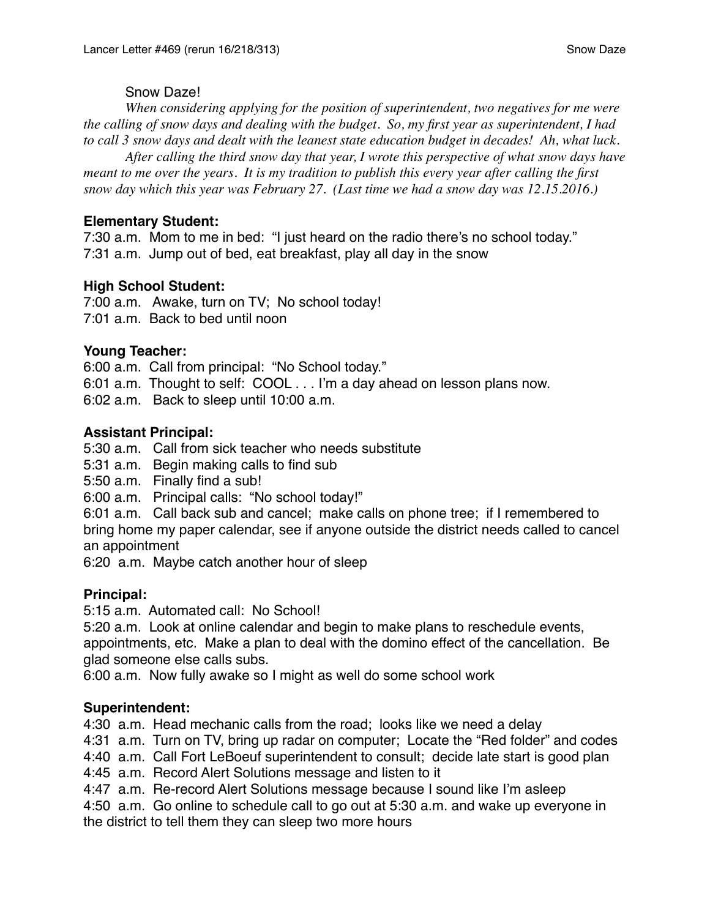### Snow Daze!

*When considering applying for the position of superintendent, two negatives for me were the calling of snow days and dealing with the budget. So, my first year as superintendent, I had to call 3 snow days and dealt with the leanest state education budget in decades! Ah, what luck.*

*After calling the third snow day that year, I wrote this perspective of what snow days have meant to me over the years. It is my tradition to publish this every year after calling the first snow day which this year was February 27. (Last time we had a snow day was 12.15.2016.)*

# **Elementary Student:**

7:30 a.m. Mom to me in bed: "I just heard on the radio there's no school today." 7:31 a.m. Jump out of bed, eat breakfast, play all day in the snow

## **High School Student:**

7:00 a.m. Awake, turn on TV; No school today! 7:01 a.m. Back to bed until noon

## **Young Teacher:**

6:00 a.m. Call from principal: "No School today." 6:01 a.m. Thought to self: COOL . . . I'm a day ahead on lesson plans now. 6:02 a.m. Back to sleep until 10:00 a.m.

## **Assistant Principal:**

5:30 a.m. Call from sick teacher who needs substitute

5:31 a.m. Begin making calls to find sub

5:50 a.m. Finally find a sub!

6:00 a.m. Principal calls: "No school today!"

6:01 a.m. Call back sub and cancel; make calls on phone tree; if I remembered to bring home my paper calendar, see if anyone outside the district needs called to cancel an appointment

6:20 a.m. Maybe catch another hour of sleep

### **Principal:**

5:15 a.m. Automated call: No School!

5:20 a.m. Look at online calendar and begin to make plans to reschedule events, appointments, etc. Make a plan to deal with the domino effect of the cancellation. Be glad someone else calls subs.

6:00 a.m. Now fully awake so I might as well do some school work

### **Superintendent:**

4:30 a.m. Head mechanic calls from the road; looks like we need a delay

4:31 a.m. Turn on TV, bring up radar on computer; Locate the "Red folder" and codes

4:40 a.m. Call Fort LeBoeuf superintendent to consult; decide late start is good plan

4:45 a.m. Record Alert Solutions message and listen to it

4:47 a.m. Re-record Alert Solutions message because I sound like I'm asleep

4:50 a.m. Go online to schedule call to go out at 5:30 a.m. and wake up everyone in the district to tell them they can sleep two more hours